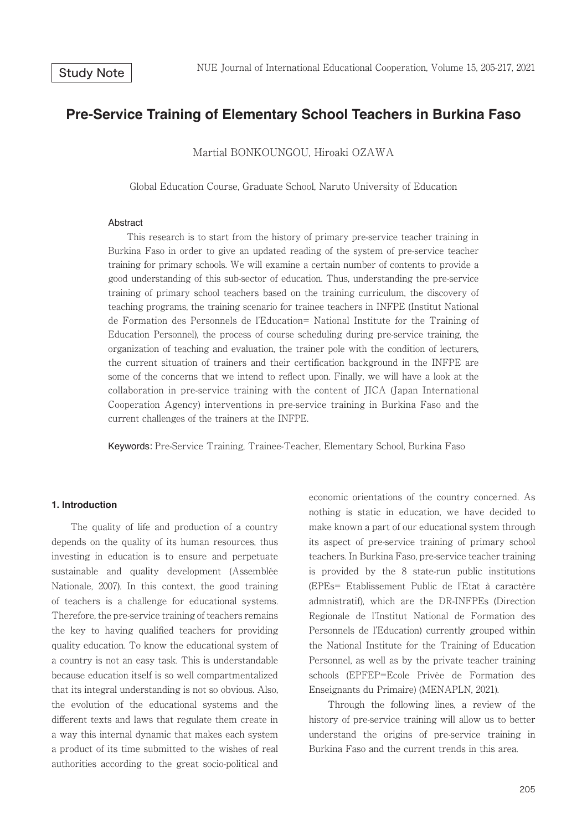# **Pre-Service Training of Elementary School Teachers in Burkina Faso**

Martial BONKOUNGOU, Hiroaki OZAWA

Global Education Course, Graduate School, Naruto University of Education

#### Abstract

 This research is to start from the history of primary pre-service teacher training in Burkina Faso in order to give an updated reading of the system of pre-service teacher training for primary schools. We will examine a certain number of contents to provide a good understanding of this sub-sector of education. Thus, understanding the pre-service training of primary school teachers based on the training curriculum, the discovery of teaching programs, the training scenario for trainee teachers in INFPE (Institut National de Formation des Personnels de l'Education= National Institute for the Training of Education Personnel), the process of course scheduling during pre-service training, the organization of teaching and evaluation, the trainer pole with the condition of lecturers, the current situation of trainers and their certification background in the INFPE are some of the concerns that we intend to reflect upon. Finally, we will have a look at the collaboration in pre-service training with the content of JICA (Japan International Cooperation Agency) interventions in pre-service training in Burkina Faso and the current challenges of the trainers at the INFPE.

Keywords: Pre-Service Training, Trainee-Teacher, Elementary School, Burkina Faso

## **1. Introduction**

 The quality of life and production of a country depends on the quality of its human resources, thus investing in education is to ensure and perpetuate sustainable and quality development (Assemblée Nationale, 2007). In this context, the good training of teachers is a challenge for educational systems. Therefore, the pre-service training of teachers remains the key to having qualified teachers for providing quality education. To know the educational system of a country is not an easy task. This is understandable because education itself is so well compartmentalized that its integral understanding is not so obvious. Also, the evolution of the educational systems and the different texts and laws that regulate them create in a way this internal dynamic that makes each system a product of its time submitted to the wishes of real authorities according to the great socio-political and

economic orientations of the country concerned. As nothing is static in education, we have decided to make known a part of our educational system through its aspect of pre-service training of primary school teachers. In Burkina Faso, pre-service teacher training is provided by the 8 state-run public institutions (EPEs= Etablissement Public de l'Etat à caractère admnistratif), which are the DR-INFPEs (Direction Regionale de l'Institut National de Formation des Personnels de l'Education) currently grouped within the National Institute for the Training of Education Personnel, as well as by the private teacher training schools (EPFEP=Ecole Privée de Formation des Enseignants du Primaire) (MENAPLN, 2021).

 Through the following lines, a review of the history of pre-service training will allow us to better understand the origins of pre-service training in Burkina Faso and the current trends in this area.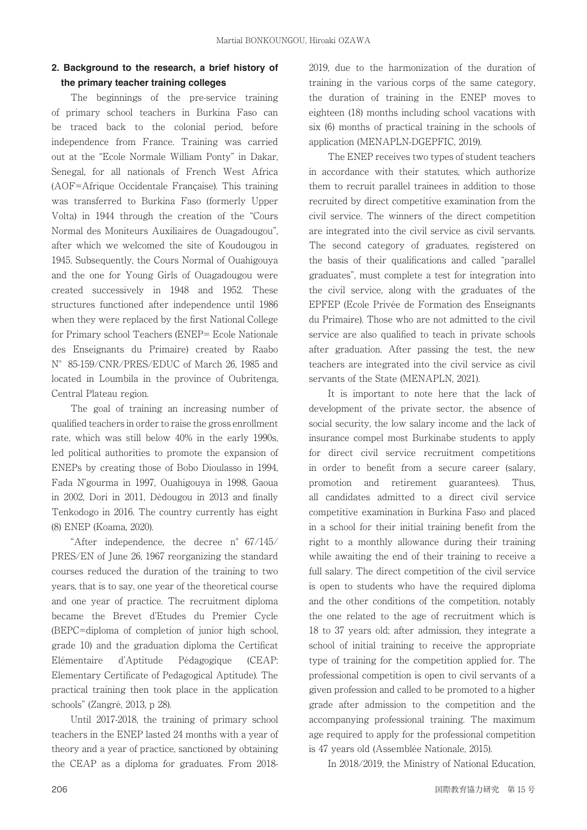## **2. Background to the research, a brief history of the primary teacher training colleges**

 The beginnings of the pre-service training of primary school teachers in Burkina Faso can be traced back to the colonial period, before independence from France. Training was carried out at the "Ecole Normale William Ponty" in Dakar, Senegal, for all nationals of French West Africa (AOF=Afrique Occidentale Française). This training was transferred to Burkina Faso (formerly Upper Volta) in 1944 through the creation of the "Cours Normal des Moniteurs Auxiliaires de Ouagadougou", after which we welcomed the site of Koudougou in 1945. Subsequently, the Cours Normal of Ouahigouya and the one for Young Girls of Ouagadougou were created successively in 1948 and 1952. These structures functioned after independence until 1986 when they were replaced by the first National College for Primary school Teachers (ENEP= Ecole Nationale des Enseignants du Primaire) created by Raabo N°85-159/CNR/PRES/EDUC of March 26, 1985 and located in Loumbila in the province of Oubritenga, Central Plateau region.

 The goal of training an increasing number of qualified teachers in order to raise the gross enrollment rate, which was still below 40% in the early 1990s, led political authorities to promote the expansion of ENEPs by creating those of Bobo Dioulasso in 1994, Fada N'gourma in 1997, Ouahigouya in 1998, Gaoua in 2002, Dori in 2011, Dédougou in 2013 and finally Tenkodogo in 2016. The country currently has eight (8) ENEP (Koama, 2020).

 "After independence, the decree n°67/145/ PRES/EN of June 26, 1967 reorganizing the standard courses reduced the duration of the training to two years, that is to say, one year of the theoretical course and one year of practice. The recruitment diploma became the Brevet d'Etudes du Premier Cycle (BEPC=diploma of completion of junior high school, grade 10) and the graduation diploma the Certificat Elémentaire d'Aptitude Pédagogique (CEAP: Elementary Certificate of Pedagogical Aptitude). The practical training then took place in the application schools" (Zangré, 2013, p 28).

 Until 2017-2018, the training of primary school teachers in the ENEP lasted 24 months with a year of theory and a year of practice, sanctioned by obtaining the CEAP as a diploma for graduates. From 20182019, due to the harmonization of the duration of training in the various corps of the same category, the duration of training in the ENEP moves to eighteen (18) months including school vacations with six (6) months of practical training in the schools of application (MENAPLN-DGEPFIC, 2019).

 The ENEP receives two types of student teachers in accordance with their statutes, which authorize them to recruit parallel trainees in addition to those recruited by direct competitive examination from the civil service. The winners of the direct competition are integrated into the civil service as civil servants. The second category of graduates, registered on the basis of their qualifications and called "parallel" graduates", must complete a test for integration into the civil service, along with the graduates of the EPFEP (Ecole Privée de Formation des Enseignants du Primaire). Those who are not admitted to the civil service are also qualified to teach in private schools after graduation. After passing the test, the new teachers are integrated into the civil service as civil servants of the State (MENAPLN, 2021).

 It is important to note here that the lack of development of the private sector, the absence of social security, the low salary income and the lack of insurance compel most Burkinabe students to apply for direct civil service recruitment competitions in order to benefit from a secure career (salary, promotion and retirement guarantees). Thus, all candidates admitted to a direct civil service competitive examination in Burkina Faso and placed in a school for their initial training benefit from the right to a monthly allowance during their training while awaiting the end of their training to receive a full salary. The direct competition of the civil service is open to students who have the required diploma and the other conditions of the competition, notably the one related to the age of recruitment which is 18 to 37 years old; after admission, they integrate a school of initial training to receive the appropriate type of training for the competition applied for. The professional competition is open to civil servants of a given profession and called to be promoted to a higher grade after admission to the competition and the accompanying professional training. The maximum age required to apply for the professional competition is 47 years old (Assemblée Nationale, 2015).

In 2018/2019, the Ministry of National Education,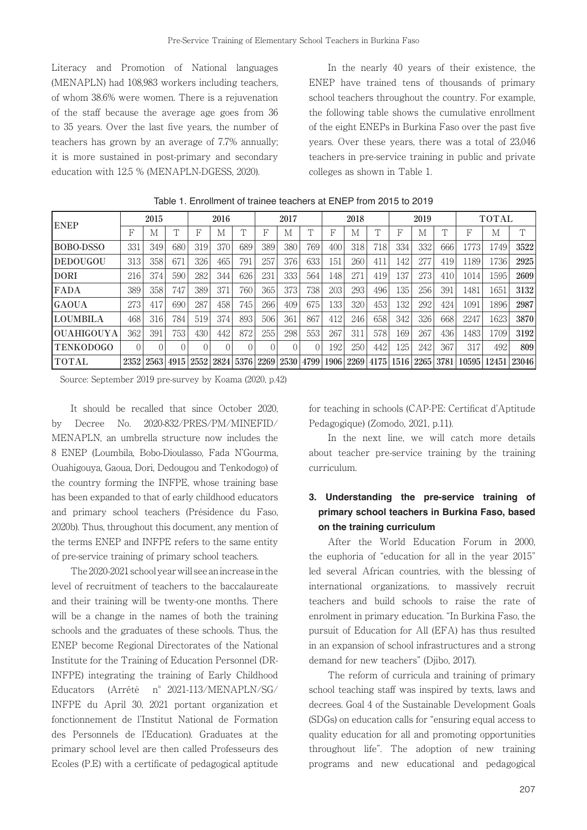Literacy and Promotion of National languages (MENAPLN) had 108,983 workers including teachers, of whom 38.6% were women. There is a rejuvenation of the staff because the average age goes from 36 to 35 years. Over the last five years, the number of teachers has grown by an average of 7.7% annually; it is more sustained in post-primary and secondary education with 12.5 % (MENAPLN-DGESS, 2020).

 In the nearly 40 years of their existence, the ENEP have trained tens of thousands of primary school teachers throughout the country. For example, the following table shows the cumulative enrollment of the eight ENEPs in Burkina Faso over the past five years. Over these years, there was a total of 23,046 teachers in pre-service training in public and private colleges as shown in Table 1.

| <b>ENEP</b>        |          | 2015             |            | 2016 |      | 2017 |      | 2018     |            | 2019 |      |        | <b>TOTAL</b>     |      |            |       |       |        |
|--------------------|----------|------------------|------------|------|------|------|------|----------|------------|------|------|--------|------------------|------|------------|-------|-------|--------|
|                    | F        | M                | $\sqrt{ }$ | F    | М    |      | F    | М        | $\sqrt{ }$ | F    | M    | $\top$ | F                | M    | $\sqrt{ }$ | F     | М     | $\top$ |
| BOBO-DSSO          | 331      | 349              | 680        | 319  | 370  | 689  | 389  | 380      | 769        | 400  | 318  | 718    | 334              | 332  | 666        | 1773  | 1749  | 3522   |
| DEDOUGOU           | 313      | 358              | 671        | 326  | 465  | 791  | 257  | 376      | 633        | 151  | 260  | 411    | 142              | 277  | 419        | 1189  | 1736  | 2925   |
| <b>DORI</b>        | 216      | 374              | 590        | 282  | 344  | 626  | 231  | 333      | 564        | 148  | 271  | 419    | 137              | 273  | 410        | 1014  | 1595  | 2609   |
| <b>FADA</b>        | 389      | 358              | 747        | 389  | 371  | 760  | 365  | 373      | 738        | 203  | 293  | 496    | 135 <sup>1</sup> | 256  | 391        | 1481  | 1651  | 3132   |
| <b>GAOUA</b>       | 273      | 417              | 690        | 287  | 458  | 745  | 266  | 409      | 675        | 133  | 320  | 453    | 132              | 292  | 424        | 1091  | 1896  | 2987   |
| <b>ILOUMBILA</b>   | 468      | 316              | 784        | 519  | 374  | 893  | 506  | 361      | 867        | 412  | 246  | 658    | 342              | 326  | 668        | 2247  | 1623  | 3870   |
| <b> OUAHIGOUYA</b> | 362      | 391              | 753        | 430  | 442  | 872  | 255  | 298      | 553        | 267  | 311  | 578    | 169              | 267  | 436        | 1483  | 1709  | 3192   |
| <b>TENKODOGO</b>   | $\Omega$ | $\left( \right)$ | $\Omega$   |      |      |      | 0    | $\Omega$ |            | 192  | 250  | 442    | 125              | 242  | 367        | 317   | 492   | 809    |
| <b>TOTAL</b>       | 2352     | 2563             | 4915       | 2552 | 2824 | 5376 | 2269 | 2530     | 4799       | 1906 | 2269 | 4175   | 1516             | 2265 | 3781       | 10595 | 12451 | 23046  |

Table 1. Enrollment of trainee teachers at ENEP from 2015 to 2019

Source: September 2019 pre-survey by Koama (2020, p.42)

 It should be recalled that since October 2020, by Decree No. 2020-832/PRES/PM/MINEFID/ MENAPLN, an umbrella structure now includes the 8 ENEP (Loumbila, Bobo-Dioulasso, Fada N'Gourma, Ouahigouya, Gaoua, Dori, Dedougou and Tenkodogo) of the country forming the INFPE, whose training base has been expanded to that of early childhood educators and primary school teachers (Présidence du Faso, 2020b). Thus, throughout this document, any mention of the terms ENEP and INFPE refers to the same entity of pre-service training of primary school teachers.

 The 2020-2021 school year will see an increase in the level of recruitment of teachers to the baccalaureate and their training will be twenty-one months. There will be a change in the names of both the training schools and the graduates of these schools. Thus, the ENEP become Regional Directorates of the National Institute for the Training of Education Personnel (DR-INFPE) integrating the training of Early Childhood Educators (Arrêté n°2021-113/MENAPLN/SG/ INFPE du April 30, 2021 portant organization et fonctionnement de l'Institut National de Formation des Personnels de l'Education). Graduates at the primary school level are then called Professeurs des Ecoles (P.E) with a certificate of pedagogical aptitude

for teaching in schools (CAP-PE: Certificat d'Aptitude Pedagogique) (Zomodo, 2021, p.11).

 In the next line, we will catch more details about teacher pre-service training by the training curriculum.

## **3. Understanding the pre-service training of primary school teachers in Burkina Faso, based on the training curriculum**

 After the World Education Forum in 2000, the euphoria of "education for all in the year 2015" led several African countries, with the blessing of international organizations, to massively recruit teachers and build schools to raise the rate of enrolment in primary education. "In Burkina Faso, the pursuit of Education for All (EFA) has thus resulted in an expansion of school infrastructures and a strong demand for new teachers" (Djibo, 2017).

 The reform of curricula and training of primary school teaching staff was inspired by texts, laws and decrees. Goal 4 of the Sustainable Development Goals (SDGs) on education calls for "ensuring equal access to quality education for all and promoting opportunities throughout life". The adoption of new training programs and new educational and pedagogical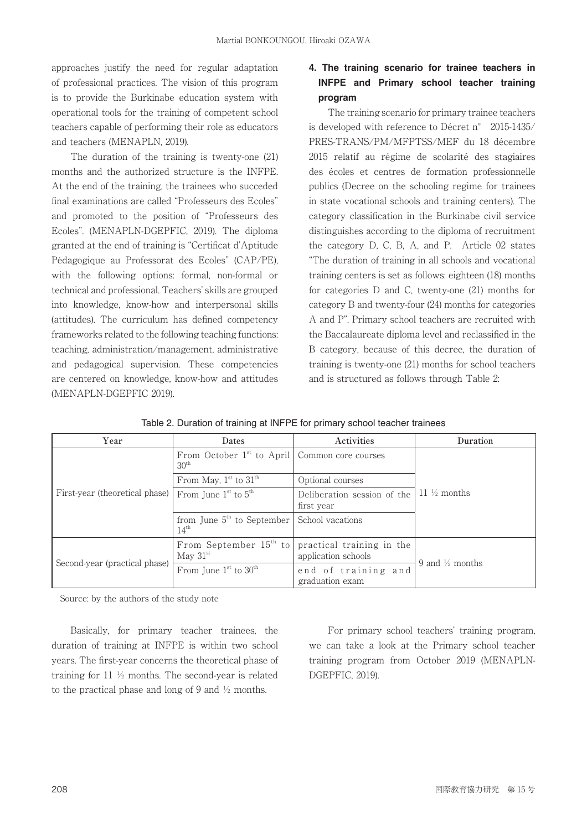approaches justify the need for regular adaptation of professional practices. The vision of this program is to provide the Burkinabe education system with operational tools for the training of competent school teachers capable of performing their role as educators and teachers (MENAPLN, 2019).

 The duration of the training is twenty-one (21) months and the authorized structure is the INFPE. At the end of the training, the trainees who succeded final examinations are called "Professeurs des Ecoles" and promoted to the position of "Professeurs des Ecoles". (MENAPLN-DGEPFIC, 2019). The diploma granted at the end of training is "Certificat d'Aptitude" Pédagogique au Professorat des Ecoles" (CAP/PE), with the following options: formal, non-formal or technical and professional. Teachers' skills are grouped into knowledge, know-how and interpersonal skills (attitudes). The curriculum has defined competency frameworks related to the following teaching functions: teaching, administration/management, administrative and pedagogical supervision. These competencies are centered on knowledge, know-how and attitudes (MENAPLN-DGEPFIC 2019).

# **4. The training scenario for trainee teachers in INFPE and Primary school teacher training program**

 The training scenario for primary trainee teachers is developed with reference to Décret n° 2015-1435/ PRES-TRANS/PM/MFPTSS/MEF du 18 décembre 2015 relatif au régime de scolarité des stagiaires des écoles et centres de formation professionnelle publics (Decree on the schooling regime for trainees in state vocational schools and training centers). The category classification in the Burkinabe civil service distinguishes according to the diploma of recruitment the category D, C, B, A, and P. Article 02 states "The duration of training in all schools and vocational training centers is set as follows: eighteen (18) months for categories D and C, twenty-one (21) months for category B and twenty-four (24) months for categories A and P". Primary school teachers are recruited with the Baccalaureate diploma level and reclassified in the B category, because of this decree, the duration of training is twenty-one (21) months for school teachers and is structured as follows through Table 2:

| Table 2. Duration of training at INFPE for primary school teacher trainees |  |
|----------------------------------------------------------------------------|--|

| Year                           | Dates                                                                 | Activities                                       | Duration                   |  |  |
|--------------------------------|-----------------------------------------------------------------------|--------------------------------------------------|----------------------------|--|--|
|                                | From October $1st$ to April   Common core courses<br>30 <sup>th</sup> |                                                  | 11 $\frac{1}{2}$ months    |  |  |
|                                | From May, $1st$ to $31th$                                             | Optional courses                                 |                            |  |  |
| First-year (theoretical phase) | From June $1st$ to $5th$                                              | Deliberation session of the<br>first year        |                            |  |  |
|                                | from June $5th$ to September<br>$14^{\text{th}}$                      | School vacations                                 |                            |  |  |
|                                | From September $15th$ to<br>May $31st$                                | practical training in the<br>application schools | 9 and $\frac{1}{2}$ months |  |  |
| Second-year (practical phase)  | From June $1st$ to $30th$                                             | end of training and<br>graduation exam           |                            |  |  |

Source: by the authors of the study note

 Basically, for primary teacher trainees, the duration of training at INFPE is within two school years. The first-year concerns the theoretical phase of training for 11 ½ months. The second-year is related to the practical phase and long of 9 and  $\frac{1}{2}$  months.

 For primary school teachers' training program, we can take a look at the Primary school teacher training program from October 2019 (MENAPLN-DGEPFIC, 2019).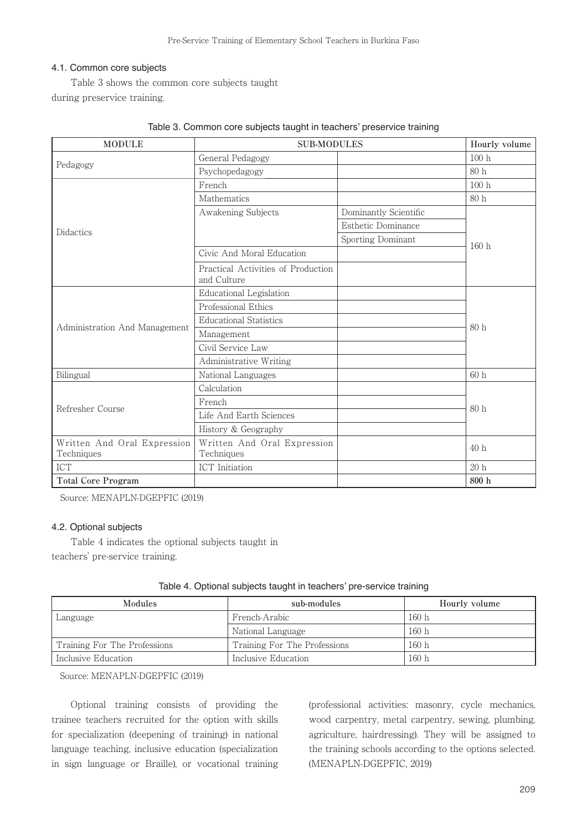## 4.1. Common core subjects

 Table 3 shows the common core subjects taught during preservice training.

| <b>MODULE</b>                             | <b>SUB-MODULES</b>                                |                       | Hourly volume |  |
|-------------------------------------------|---------------------------------------------------|-----------------------|---------------|--|
|                                           | General Pedagogy                                  |                       | 100h          |  |
| Pedagogy                                  | Psychopedagogy                                    |                       | 80h           |  |
|                                           | French                                            |                       | 100h          |  |
|                                           | Mathematics                                       |                       | 80h           |  |
|                                           | Awakening Subjects                                | Dominantly Scientific |               |  |
| <b>Didactics</b>                          |                                                   | Esthetic Dominance    |               |  |
|                                           |                                                   | Sporting Dominant     | 160h          |  |
|                                           | Civic And Moral Education                         |                       |               |  |
|                                           | Practical Activities of Production<br>and Culture |                       |               |  |
|                                           | Educational Legislation                           |                       |               |  |
|                                           | Professional Ethics                               |                       | 80h           |  |
|                                           | <b>Educational Statistics</b>                     |                       |               |  |
| Administration And Management             | Management                                        |                       |               |  |
|                                           | Civil Service Law                                 |                       |               |  |
|                                           | Administrative Writing                            |                       |               |  |
| Bilingual                                 | National Languages                                |                       | 60h           |  |
|                                           | Calculation                                       |                       |               |  |
| Refresher Course                          | French                                            |                       | 80 h          |  |
|                                           | Life And Earth Sciences                           |                       |               |  |
|                                           | History & Geography                               |                       |               |  |
| Written And Oral Expression<br>Techniques | Written And Oral Expression<br>Techniques         |                       | 40h           |  |
| <b>ICT</b>                                | ICT Initiation                                    |                       | 20h           |  |
| <b>Total Core Program</b>                 |                                                   |                       | 800 h         |  |

| Table 3. Common core subjects taught in teachers' preservice training |  |  |  |
|-----------------------------------------------------------------------|--|--|--|
|                                                                       |  |  |  |

Source: MENAPLN-DGEPFIC (2019)

### 4.2. Optional subjects

 Table 4 indicates the optional subjects taught in teachers' pre-service training.

| <b>Modules</b>               | sub-modules                  | Hourly volume |
|------------------------------|------------------------------|---------------|
| Language                     | French-Arabic                | 160h          |
|                              | National Language            | 160h          |
| Training For The Professions | Training For The Professions | 160h          |
| Inclusive Education          | Inclusive Education          | 160h          |

|  |  | Table 4. Optional subjects taught in teachers' pre-service training |  |
|--|--|---------------------------------------------------------------------|--|
|  |  |                                                                     |  |

Source: MENAPLN-DGEPFIC (2019)

 Optional training consists of providing the trainee teachers recruited for the option with skills for specialization (deepening of training) in national language teaching, inclusive education (specialization in sign language or Braille), or vocational training (professional activities: masonry, cycle mechanics, wood carpentry, metal carpentry, sewing, plumbing, agriculture, hairdressing). They will be assigned to the training schools according to the options selected. (MENAPLN-DGEPFIC, 2019)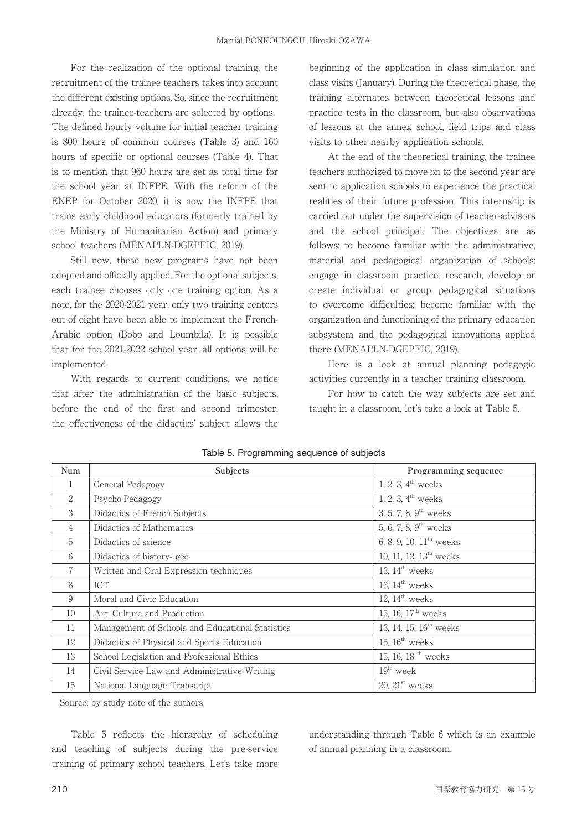For the realization of the optional training, the recruitment of the trainee teachers takes into account the different existing options. So, since the recruitment already, the trainee-teachers are selected by options. The defined hourly volume for initial teacher training is 800 hours of common courses (Table 3) and 160 hours of specific or optional courses (Table 4). That is to mention that 960 hours are set as total time for the school year at INFPE. With the reform of the ENEP for October 2020, it is now the INFPE that trains early childhood educators (formerly trained by the Ministry of Humanitarian Action) and primary school teachers (MENAPLN-DGEPFIC, 2019).

 Still now, these new programs have not been adopted and officially applied. For the optional subjects, each trainee chooses only one training option. As a note, for the 2020-2021 year, only two training centers out of eight have been able to implement the French-Arabic option (Bobo and Loumbila). It is possible that for the 2021-2022 school year, all options will be implemented.

 With regards to current conditions, we notice that after the administration of the basic subjects, before the end of the first and second trimester, the effectiveness of the didactics' subject allows the

beginning of the application in class simulation and class visits (January). During the theoretical phase, the training alternates between theoretical lessons and practice tests in the classroom, but also observations of lessons at the annex school, field trips and class visits to other nearby application schools.

 At the end of the theoretical training, the trainee teachers authorized to move on to the second year are sent to application schools to experience the practical realities of their future profession. This internship is carried out under the supervision of teacher-advisors and the school principal. The objectives are as follows: to become familiar with the administrative, material and pedagogical organization of schools; engage in classroom practice; research, develop or create individual or group pedagogical situations to overcome difficulties; become familiar with the organization and functioning of the primary education subsystem and the pedagogical innovations applied there (MENAPLN-DGEPFIC, 2019).

 Here is a look at annual planning pedagogic activities currently in a teacher training classroom.

 For how to catch the way subjects are set and taught in a classroom, let's take a look at Table 5.

| Num            | Subjects                                         | Programming sequence                |
|----------------|--------------------------------------------------|-------------------------------------|
| 1              | General Pedagogy                                 | 1, 2, 3, $4^{\text{th}}$ weeks      |
| 2              | Psycho-Pedagogy                                  | 1, 2, 3, $4^{\text{th}}$ weeks      |
| 3              | Didactics of French Subjects                     | 3, 5, 7, 8, $9^{\text{th}}$ weeks   |
| 4              | Didactics of Mathematics                         | 5, 6, 7, 8, $9^{\text{th}}$ weeks   |
| $\overline{5}$ | Didactics of science                             | 6, 8, 9, 10, $11^{\text{th}}$ weeks |
| 6              | Didactics of history-geo                         | 10, 11, 12, $13th$ weeks            |
| 7              | Written and Oral Expression techniques           | 13, $14^{\text{th}}$ weeks          |
| 8              | <b>ICT</b>                                       | 13, $14^{\text{th}}$ weeks          |
| 9              | Moral and Civic Education                        | 12, $14^{\text{th}}$ weeks          |
| 10             | Art, Culture and Production                      | 15, 16, $17^{\text{th}}$ weeks      |
| 11             | Management of Schools and Educational Statistics | 13, 14, 15, 16 <sup>th</sup> weeks  |
| 12             | Didactics of Physical and Sports Education       | 15, $16^{\text{th}}$ weeks          |
| 13             | School Legislation and Professional Ethics       | 15, 16, 18 <sup>th</sup> weeks      |
| 14             | Civil Service Law and Administrative Writing     | $19th$ week                         |
| 15             | National Language Transcript                     | 20, $21st$ weeks                    |

Table 5. Programming sequence of subjects

Source: by study note of the authors

Table 5 reflects the hierarchy of scheduling and teaching of subjects during the pre-service training of primary school teachers. Let's take more understanding through Table 6 which is an example of annual planning in a classroom.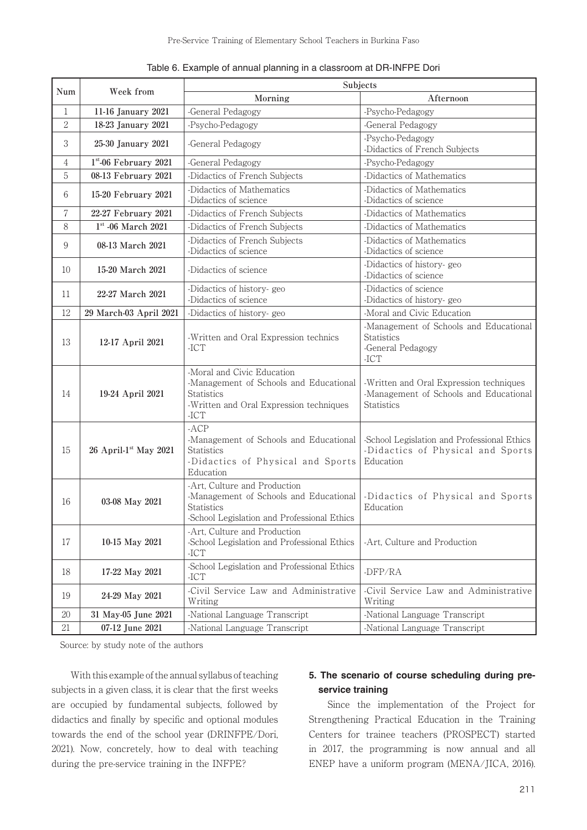|                |                                     |                                                                                                                                                | Subjects                                                                                               |  |  |  |
|----------------|-------------------------------------|------------------------------------------------------------------------------------------------------------------------------------------------|--------------------------------------------------------------------------------------------------------|--|--|--|
| Num            | Week from                           | Morning                                                                                                                                        | Afternoon                                                                                              |  |  |  |
| 1              | 11-16 January 2021                  | -General Pedagogy                                                                                                                              | -Psycho-Pedagogy                                                                                       |  |  |  |
| $\overline{2}$ | 18-23 January 2021                  | -Psycho-Pedagogy                                                                                                                               | -General Pedagogy                                                                                      |  |  |  |
| 3              | 25-30 January 2021                  | -General Pedagogy                                                                                                                              | -Psycho-Pedagogy<br>-Didactics of French Subjects                                                      |  |  |  |
| 4              | $1st$ -06 February 2021             | -General Pedagogy                                                                                                                              | -Psycho-Pedagogy                                                                                       |  |  |  |
| 5              | 08-13 February 2021                 | -Didactics of French Subjects                                                                                                                  | -Didactics of Mathematics                                                                              |  |  |  |
| 6              | 15-20 February 2021                 | -Didactics of Mathematics<br>-Didactics of science                                                                                             | -Didactics of Mathematics<br>-Didactics of science                                                     |  |  |  |
| 7              | 22-27 February 2021                 | -Didactics of French Subjects                                                                                                                  | -Didactics of Mathematics                                                                              |  |  |  |
| 8              | $1st$ -06 March 2021                | -Didactics of French Subjects                                                                                                                  | -Didactics of Mathematics                                                                              |  |  |  |
| 9              | 08-13 March 2021                    | -Didactics of French Subjects<br>-Didactics of science                                                                                         | -Didactics of Mathematics<br>-Didactics of science                                                     |  |  |  |
| 10             | 15-20 March 2021                    | -Didactics of science                                                                                                                          | -Didactics of history-geo<br>-Didactics of science                                                     |  |  |  |
| 11             | 22-27 March 2021                    | -Didactics of history-geo<br>-Didactics of science                                                                                             | -Didactics of science<br>-Didactics of history-geo                                                     |  |  |  |
| 12             | 29 March-03 April 2021              | -Didactics of history-geo                                                                                                                      | -Moral and Civic Education                                                                             |  |  |  |
| 13             | 12-17 April 2021                    | -Written and Oral Expression technics<br>$-ICT$                                                                                                | -Management of Schools and Educational<br><b>Statistics</b><br>-General Pedagogy<br>$-ICT$             |  |  |  |
| 14             | 19-24 April 2021                    | -Moral and Civic Education<br>-Management of Schools and Educational<br><b>Statistics</b><br>-Written and Oral Expression techniques<br>$-ICT$ | -Written and Oral Expression techniques<br>-Management of Schools and Educational<br><b>Statistics</b> |  |  |  |
| 15             | $26$ April-1 <sup>st</sup> May 2021 | $-ACP$<br>-Management of Schools and Educational<br><b>Statistics</b><br>-Didactics of Physical and Sports<br>Education                        | -School Legislation and Professional Ethics<br>-Didactics of Physical and Sports<br>Education          |  |  |  |
| 16             | 03-08 May 2021                      | -Art, Culture and Production<br>-Management of Schools and Educational<br><b>Statistics</b><br>-School Legislation and Professional Ethics     | -Didactics of Physical and Sports<br>Education                                                         |  |  |  |
| 17             | 10-15 May 2021                      | -Art, Culture and Production<br>-School Legislation and Professional Ethics<br>$-ICT$                                                          | -Art, Culture and Production                                                                           |  |  |  |
| 18             | 17-22 May 2021                      | -School Legislation and Professional Ethics<br>$-ICT$                                                                                          | -DFP/RA                                                                                                |  |  |  |
| 19             | 24-29 May 2021                      | -Civil Service Law and Administrative<br>Writing                                                                                               | -Civil Service Law and Administrative<br>Writing                                                       |  |  |  |
| 20             | 31 May-05 June 2021                 | -National Language Transcript                                                                                                                  | -National Language Transcript                                                                          |  |  |  |
| 21             | 07-12 June 2021                     | -National Language Transcript                                                                                                                  | -National Language Transcript                                                                          |  |  |  |

Table 6. Example of annual planning in a classroom at DR-INFPE Dori

Source: by study note of the authors

 With this example of the annual syllabus of teaching subjects in a given class, it is clear that the first weeks are occupied by fundamental subjects, followed by didactics and finally by specific and optional modules towards the end of the school year (DRINFPE/Dori, 2021). Now, concretely, how to deal with teaching during the pre-service training in the INFPE?

## **5. The scenario of course scheduling during preservice training**

 Since the implementation of the Project for Strengthening Practical Education in the Training Centers for trainee teachers (PROSPECT) started in 2017, the programming is now annual and all ENEP have a uniform program (MENA/JICA, 2016).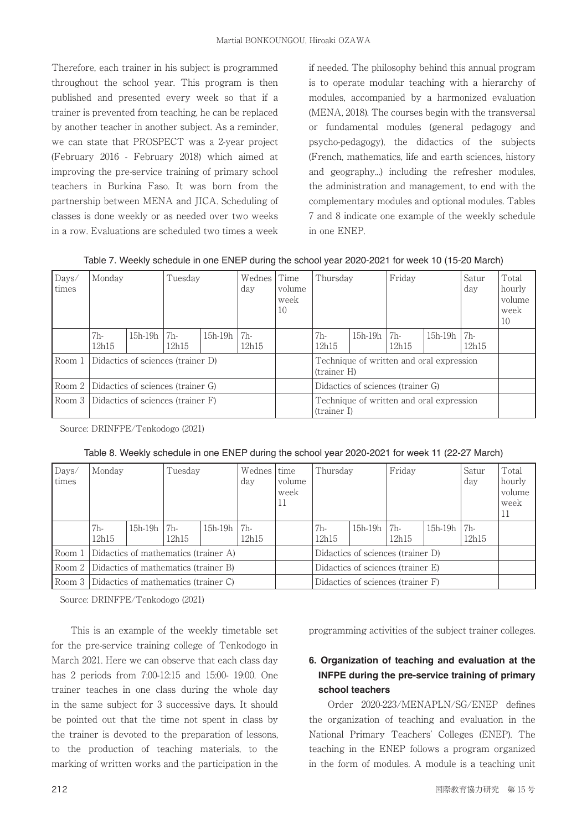Therefore, each trainer in his subject is programmed throughout the school year. This program is then published and presented every week so that if a trainer is prevented from teaching, he can be replaced by another teacher in another subject. As a reminder, we can state that PROSPECT was a 2-year project (February 2016 - February 2018) which aimed at improving the pre-service training of primary school teachers in Burkina Faso. It was born from the partnership between MENA and JICA. Scheduling of classes is done weekly or as needed over two weeks in a row. Evaluations are scheduled two times a week

if needed. The philosophy behind this annual program is to operate modular teaching with a hierarchy of modules, accompanied by a harmonized evaluation (MENA, 2018). The courses begin with the transversal or fundamental modules (general pedagogy and psycho-pedagogy), the didactics of the subjects (French, mathematics, life and earth sciences, history and geography...) including the refresher modules, the administration and management, to end with the complementary modules and optional modules. Tables 7 and 8 indicate one example of the weekly schedule in one ENEP.

| Days/<br>times | Monday                            |           | Time<br>Wednes<br>Tuesday<br>Thursday<br>day<br>volume<br>week<br>10 |           | Friday                                                  |                                   | Satur<br>day | Total<br>hourly<br>volume<br>week<br>10 |           |              |  |
|----------------|-----------------------------------|-----------|----------------------------------------------------------------------|-----------|---------------------------------------------------------|-----------------------------------|--------------|-----------------------------------------|-----------|--------------|--|
|                | 7h-<br>12h15                      | $15h-19h$ | 7 <sub>h</sub><br>12h15                                              | $15h-19h$ | 7h-<br>12h15                                            | 7h-<br>12h15                      | $15h-19h$    | 7h-<br>12h15                            | $15h-19h$ | 7h-<br>12h15 |  |
| Room 1         | Didactics of sciences (trainer D) |           |                                                                      |           | Technique of written and oral expression<br>(trainer H) |                                   |              |                                         |           |              |  |
| Room 2         | Didactics of sciences (trainer G) |           |                                                                      |           |                                                         | Didactics of sciences (trainer G) |              |                                         |           |              |  |
| l Room 3       | Didactics of sciences (trainer F) |           |                                                                      |           | Technique of written and oral expression<br>(trainer I) |                                   |              |                                         |           |              |  |

Table 7. Weekly schedule in one ENEP during the school year 2020-2021 for week 10 (15-20 March)

Source: DRINFPE/Tenkodogo (2021)

| Days/<br>times | Monday                                        | Tuesday   |                         | Wednes<br>day | time<br>volume<br>week<br>11 | Thursday                          |                                   | Friday                            |              | Satur<br>day | Total<br>hourly<br>volume<br>week<br>11 |  |
|----------------|-----------------------------------------------|-----------|-------------------------|---------------|------------------------------|-----------------------------------|-----------------------------------|-----------------------------------|--------------|--------------|-----------------------------------------|--|
|                | 7h-<br>12h15                                  | $15h-19h$ | 7 <sub>h</sub><br>12h15 | 15h-19h       | $17h-$<br>12h15              |                                   | 7h-<br>12h15                      | $15h-19h$                         | 7h-<br>12h15 | $15h-19h$    | 7 <sub>h</sub><br>12h15                 |  |
| Room 1         | Didactics of mathematics (trainer A)          |           |                         |               |                              |                                   | Didactics of sciences (trainer D) |                                   |              |              |                                         |  |
|                | Room 2   Didactics of mathematics (trainer B) |           |                         |               |                              | Didactics of sciences (trainer E) |                                   |                                   |              |              |                                         |  |
|                | Room 3   Didactics of mathematics (trainer C) |           |                         |               |                              |                                   |                                   | Didactics of sciences (trainer F) |              |              |                                         |  |

Source: DRINFPE/Tenkodogo (2021)

 This is an example of the weekly timetable set for the pre-service training college of Tenkodogo in March 2021. Here we can observe that each class day has 2 periods from 7:00-12:15 and 15:00- 19:00. One trainer teaches in one class during the whole day in the same subject for 3 successive days. It should be pointed out that the time not spent in class by the trainer is devoted to the preparation of lessons, to the production of teaching materials, to the marking of written works and the participation in the programming activities of the subject trainer colleges.

# **6. Organization of teaching and evaluation at the INFPE during the pre-service training of primary school teachers**

Order 2020-223/MENAPLN/SG/ENEP defines the organization of teaching and evaluation in the National Primary Teachers' Colleges (ENEP). The teaching in the ENEP follows a program organized in the form of modules. A module is a teaching unit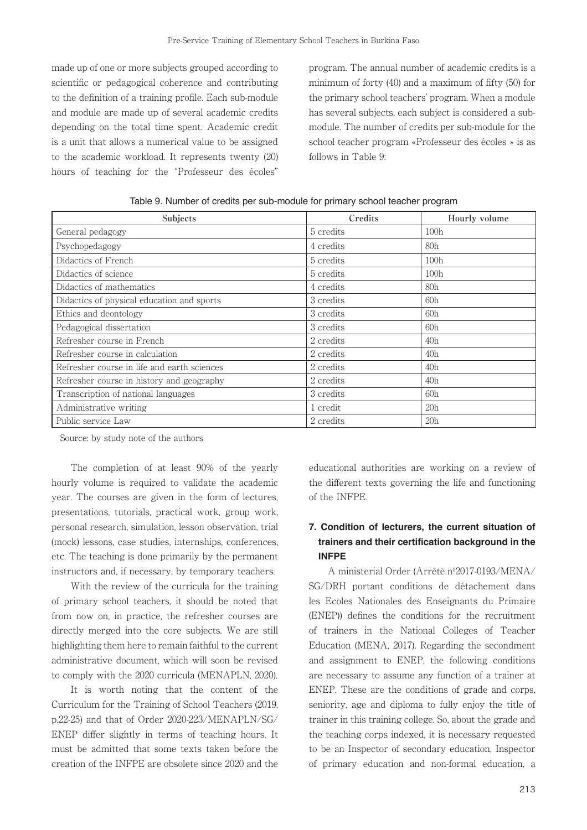made up of one or more subjects grouped according to scientific or pedagogical coherence and contributing to the definition of a training profile. Each sub-module and module are made up of several academic credits depending on the total time spent. Academic credit is a unit that allows a numerical value to be assigned to the academic workload. It represents twenty (20) hours of teaching for the "Professeur des écoles"

program. The annual number of academic credits is a minimum of forty  $(40)$  and a maximum of fifty  $(50)$  for the primary school teachers' program. When a module has several subjects, each subject is considered a submodule. The number of credits per sub-module for the school teacher program «Professeur des écoles » is as follows in Table 9:

| Subjects                                    | Credits   | Hourly volume   |
|---------------------------------------------|-----------|-----------------|
| General pedagogy                            | 5 credits | 100h            |
| Psychopedagogy                              | 4 credits | 80 <sub>h</sub> |
| Didactics of French                         | 5 credits | 100h            |
| Didactics of science                        | 5 credits | 100h            |
| Didactics of mathematics                    | 4 credits | 80 <sub>h</sub> |
| Didactics of physical education and sports  | 3 credits | 60h             |
| Ethics and deontology                       | 3 credits | 60h             |
| Pedagogical dissertation                    | 3 credits | 60h             |
| Refresher course in French                  | 2 credits | 40h             |
| Refresher course in calculation             | 2 credits | 40h             |
| Refresher course in life and earth sciences | 2 credits | 40h             |
| Refresher course in history and geography   | 2 credits | 40h             |
| Transcription of national languages         | 3 credits | 60h             |
| Administrative writing                      | 1 credit  | 20h             |
| Public service Law                          | 2 credits | 20h             |

Table 9. Number of credits per sub-module for primary school teacher program

Source: by study note of the authors

 The completion of at least 90% of the yearly hourly volume is required to validate the academic year. The courses are given in the form of lectures, presentations, tutorials, practical work, group work, personal research, simulation, lesson observation, trial (mock) lessons, case studies, internships, conferences, etc. The teaching is done primarily by the permanent instructors and, if necessary, by temporary teachers.

 With the review of the curricula for the training of primary school teachers, it should be noted that from now on, in practice, the refresher courses are directly merged into the core subjects. We are still highlighting them here to remain faithful to the current administrative document, which will soon be revised to comply with the 2020 curricula (MENAPLN, 2020).

 It is worth noting that the content of the Curriculum for the Training of School Teachers (2019, p.22-25) and that of Order 2020-223/MENAPLN/SG/ ENEP differ slightly in terms of teaching hours. It must be admitted that some texts taken before the creation of the INFPE are obsolete since 2020 and the

educational authorities are working on a review of the different texts governing the life and functioning of the INFPE.

## **7. Condition of lecturers, the current situation of**  trainers and their certification background in the **INFPE**

A ministerial Order (Arrêté nº2017-0193/MENA/ SG/DRH portant conditions de détachement dans les Ecoles Nationales des Enseignants du Primaire (ENEP)) defines the conditions for the recruitment of trainers in the National Colleges of Teacher Education (MENA, 2017). Regarding the secondment and assignment to ENEP, the following conditions are necessary to assume any function of a trainer at ENEP. These are the conditions of grade and corps, seniority, age and diploma to fully enjoy the title of trainer in this training college. So, about the grade and the teaching corps indexed, it is necessary requested to be an Inspector of secondary education, Inspector of primary education and non-formal education, a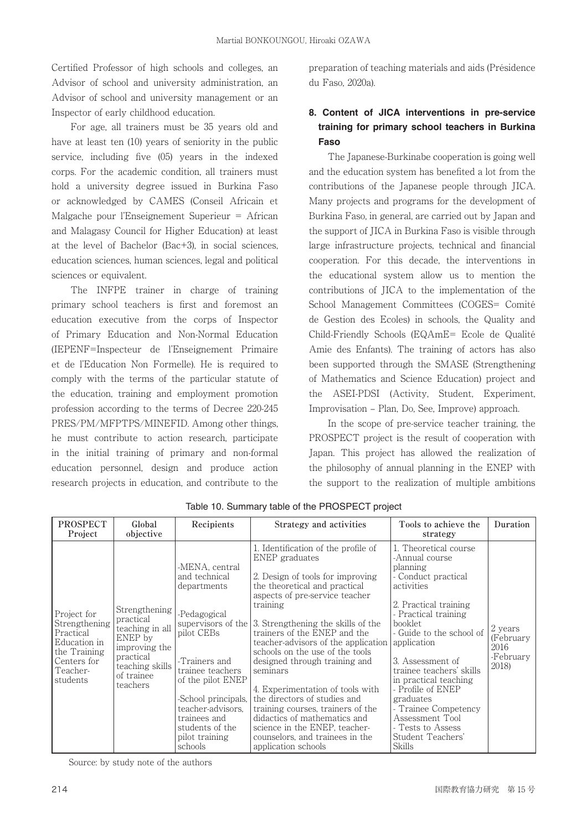Certified Professor of high schools and colleges, an Advisor of school and university administration, an Advisor of school and university management or an Inspector of early childhood education.

 For age, all trainers must be 35 years old and have at least ten (10) years of seniority in the public service, including five  $(05)$  years in the indexed corps. For the academic condition, all trainers must hold a university degree issued in Burkina Faso or acknowledged by CAMES (Conseil Africain et Malgache pour l'Enseignement Superieur = African and Malagasy Council for Higher Education) at least at the level of Bachelor (Bac+3), in social sciences, education sciences, human sciences, legal and political sciences or equivalent.

 The INFPE trainer in charge of training primary school teachers is first and foremost an education executive from the corps of Inspector of Primary Education and Non-Normal Education (IEPENF=Inspecteur de l'Enseignement Primaire et de l'Education Non Formelle). He is required to comply with the terms of the particular statute of the education, training and employment promotion profession according to the terms of Decree 220-245 PRES/PM/MFPTPS/MINEFID. Among other things, he must contribute to action research, participate in the initial training of primary and non-formal education personnel, design and produce action research projects in education, and contribute to the

preparation of teaching materials and aids (Présidence du Faso, 2020a).

# **8. Content of JICA interventions in pre-service training for primary school teachers in Burkina Faso**

 The Japanese-Burkinabe cooperation is going well and the education system has benefited a lot from the contributions of the Japanese people through JICA. Many projects and programs for the development of Burkina Faso, in general, are carried out by Japan and the support of JICA in Burkina Faso is visible through large infrastructure projects, technical and financial cooperation. For this decade, the interventions in the educational system allow us to mention the contributions of JICA to the implementation of the School Management Committees (COGES= Comité de Gestion des Ecoles) in schools, the Quality and Child-Friendly Schools (EQAmE= Ecole de Qualité Amie des Enfants). The training of actors has also been supported through the SMASE (Strengthening of Mathematics and Science Education) project and the ASEI-PDSI (Activity, Student, Experiment, Improvisation ‒ Plan, Do, See, Improve) approach.

 In the scope of pre-service teacher training, the PROSPECT project is the result of cooperation with Japan. This project has allowed the realization of the philosophy of annual planning in the ENEP with the support to the realization of multiple ambitions

| <b>PROSPECT</b><br>Project                                                                                       | Global<br>objective                                                                                                                 | Recipients                                                                                                                                                                                                                                                               | Strategy and activities                                                                                                                                                                                                                                                                                                                                                                                                                                                                                                                                                                                   | Tools to achieve the<br>strategy                                                                                                                                                                                                                                                                                                                                                                           | Duration                                           |
|------------------------------------------------------------------------------------------------------------------|-------------------------------------------------------------------------------------------------------------------------------------|--------------------------------------------------------------------------------------------------------------------------------------------------------------------------------------------------------------------------------------------------------------------------|-----------------------------------------------------------------------------------------------------------------------------------------------------------------------------------------------------------------------------------------------------------------------------------------------------------------------------------------------------------------------------------------------------------------------------------------------------------------------------------------------------------------------------------------------------------------------------------------------------------|------------------------------------------------------------------------------------------------------------------------------------------------------------------------------------------------------------------------------------------------------------------------------------------------------------------------------------------------------------------------------------------------------------|----------------------------------------------------|
| Project for<br>Strengthening<br>Practical<br>Education in<br>the Training<br>Centers for<br>Teacher-<br>students | Strengthening<br>practical<br>teaching in all<br>ENEP by<br>improving the<br>practical<br>teaching skills<br>of trainee<br>teachers | -MENA, central<br>and technical<br>departments<br>-Pedagogical<br>supervisors of the<br>pilot CEBs<br>-Trainers and<br>trainee teachers<br>of the pilot ENEP<br>-School principals,<br>teacher-advisors.<br>trainees and<br>students of the<br>pilot training<br>schools | 1. Identification of the profile of<br>ENEP graduates<br>2. Design of tools for improving<br>the theoretical and practical<br>aspects of pre-service teacher<br>training<br>3. Strengthening the skills of the<br>trainers of the ENEP and the<br>teacher-advisors of the application<br>schools on the use of the tools<br>designed through training and<br>seminars<br>4. Experimentation of tools with<br>the directors of studies and<br>training courses, trainers of the<br>didactics of mathematics and<br>science in the ENEP, teacher-<br>counselors, and trainees in the<br>application schools | 1. Theoretical course<br>-Annual course<br>planning<br>- Conduct practical<br>activities<br>2. Practical training<br>- Practical training<br>booklet.<br>- Guide to the school of<br>application<br>3. Assessment of<br>trainee teachers' skills<br>in practical teaching<br>- Profile of ENEP<br>graduates<br>- Trainee Competency<br>Assessment Tool<br>- Tests to Assess<br>Student Teachers'<br>Skills | 2 years<br>(February<br>2016<br>-February<br>2018) |

Table 10. Summary table of the PROSPECT project

Source: by study note of the authors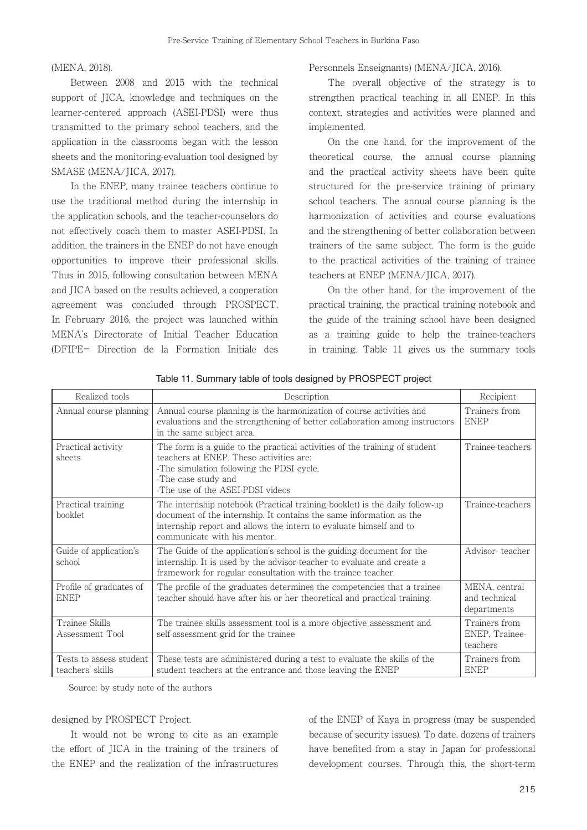#### (MENA, 2018).

 Between 2008 and 2015 with the technical support of JICA, knowledge and techniques on the learner-centered approach (ASEI-PDSI) were thus transmitted to the primary school teachers, and the application in the classrooms began with the lesson sheets and the monitoring-evaluation tool designed by SMASE (MENA/JICA, 2017).

 In the ENEP, many trainee teachers continue to use the traditional method during the internship in the application schools, and the teacher-counselors do not effectively coach them to master ASEI-PDSI. In addition, the trainers in the ENEP do not have enough opportunities to improve their professional skills. Thus in 2015, following consultation between MENA and JICA based on the results achieved, a cooperation agreement was concluded through PROSPECT. In February 2016, the project was launched within MENA's Directorate of Initial Teacher Education (DFIPE= Direction de la Formation Initiale des Personnels Enseignants) (MENA/JICA, 2016).

The overall objective of the strategy is to strengthen practical teaching in all ENEP. In this context, strategies and activities were planned and implemented.

 On the one hand, for the improvement of the theoretical course, the annual course planning and the practical activity sheets have been quite structured for the pre-service training of primary school teachers. The annual course planning is the harmonization of activities and course evaluations and the strengthening of better collaboration between trainers of the same subject. The form is the guide to the practical activities of the training of trainee teachers at ENEP (MENA/JICA, 2017).

 On the other hand, for the improvement of the practical training, the practical training notebook and the guide of the training school have been designed as a training guide to help the trainee-teachers in training. Table 11 gives us the summary tools

| Realized tools                              | Description                                                                                                                                                                                                                                              | Recipient                                     |
|---------------------------------------------|----------------------------------------------------------------------------------------------------------------------------------------------------------------------------------------------------------------------------------------------------------|-----------------------------------------------|
| Annual course planning                      | Annual course planning is the harmonization of course activities and<br>evaluations and the strengthening of better collaboration among instructors<br>in the same subject area.                                                                         | Trainers from<br><b>ENEP</b>                  |
| Practical activity<br>sheets                | The form is a guide to the practical activities of the training of student<br>teachers at ENEP. These activities are:<br>-The simulation following the PDSI cycle,<br>-The case study and<br>-The use of the ASEI-PDSI videos                            | Trainee-teachers                              |
| Practical training<br>booklet               | The internship notebook (Practical training booklet) is the daily follow-up<br>document of the internship. It contains the same information as the<br>internship report and allows the intern to evaluate himself and to<br>communicate with his mentor. | Trainee-teachers                              |
| Guide of application's<br>school            | The Guide of the application's school is the guiding document for the<br>internship. It is used by the advisor-teacher to evaluate and create a<br>framework for regular consultation with the trainee teacher.                                          | Advisor-teacher                               |
| Profile of graduates of<br><b>ENEP</b>      | The profile of the graduates determines the competencies that a trainee<br>teacher should have after his or her theoretical and practical training.                                                                                                      | MENA, central<br>and technical<br>departments |
| Trainee Skills<br>Assessment Tool           | The trainee skills assessment tool is a more objective assessment and<br>self-assessment grid for the trainee                                                                                                                                            | Trainers from<br>ENEP, Trainee-<br>teachers   |
| Tests to assess student<br>teachers' skills | These tests are administered during a test to evaluate the skills of the<br>student teachers at the entrance and those leaving the ENEP                                                                                                                  | Trainers from<br><b>ENEP</b>                  |

Table 11. Summary table of tools designed by PROSPECT project

Source: by study note of the authors

#### designed by PROSPECT Project.

 It would not be wrong to cite as an example the effort of JICA in the training of the trainers of the ENEP and the realization of the infrastructures

of the ENEP of Kaya in progress (may be suspended because of security issues). To date, dozens of trainers have benefited from a stay in Japan for professional development courses. Through this, the short-term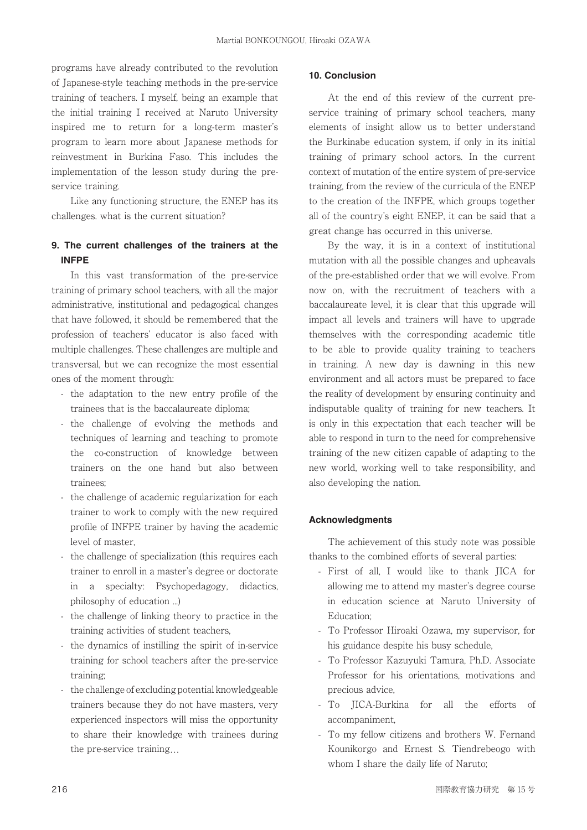programs have already contributed to the revolution of Japanese-style teaching methods in the pre-service training of teachers. I myself, being an example that the initial training I received at Naruto University inspired me to return for a long-term master's program to learn more about Japanese methods for reinvestment in Burkina Faso. This includes the implementation of the lesson study during the preservice training.

 Like any functioning structure, the ENEP has its challenges. what is the current situation?

## **9. The current challenges of the trainers at the INFPE**

 In this vast transformation of the pre-service training of primary school teachers, with all the major administrative, institutional and pedagogical changes that have followed, it should be remembered that the profession of teachers' educator is also faced with multiple challenges. These challenges are multiple and transversal, but we can recognize the most essential ones of the moment through:

- the adaptation to the new entry profile of the trainees that is the baccalaureate diploma;
- the challenge of evolving the methods and techniques of learning and teaching to promote the co-construction of knowledge between trainers on the one hand but also between trainees;
- the challenge of academic regularization for each trainer to work to comply with the new required profile of INFPE trainer by having the academic level of master,
- the challenge of specialization (this requires each trainer to enroll in a master's degree or doctorate in a specialty: Psychopedagogy, didactics, philosophy of education ...)
- the challenge of linking theory to practice in the training activities of student teachers,
- the dynamics of instilling the spirit of in-service training for school teachers after the pre-service training;
- the challenge of excluding potential knowledgeable trainers because they do not have masters, very experienced inspectors will miss the opportunity to share their knowledge with trainees during the pre-service training…

### **10. Conclusion**

 At the end of this review of the current preservice training of primary school teachers, many elements of insight allow us to better understand the Burkinabe education system, if only in its initial training of primary school actors. In the current context of mutation of the entire system of pre-service training, from the review of the curricula of the ENEP to the creation of the INFPE, which groups together all of the country's eight ENEP, it can be said that a great change has occurred in this universe.

 By the way, it is in a context of institutional mutation with all the possible changes and upheavals of the pre-established order that we will evolve. From now on, with the recruitment of teachers with a baccalaureate level, it is clear that this upgrade will impact all levels and trainers will have to upgrade themselves with the corresponding academic title to be able to provide quality training to teachers in training. A new day is dawning in this new environment and all actors must be prepared to face the reality of development by ensuring continuity and indisputable quality of training for new teachers. It is only in this expectation that each teacher will be able to respond in turn to the need for comprehensive training of the new citizen capable of adapting to the new world, working well to take responsibility, and also developing the nation.

#### **Acknowledgments**

 The achievement of this study note was possible thanks to the combined efforts of several parties:

- First of all, I would like to thank JICA for allowing me to attend my master's degree course in education science at Naruto University of Education;
- To Professor Hiroaki Ozawa, my supervisor, for his guidance despite his busy schedule,
- To Professor Kazuyuki Tamura, Ph.D. Associate Professor for his orientations, motivations and precious advice,
- To JICA-Burkina for all the efforts of accompaniment,
- To my fellow citizens and brothers W. Fernand Kounikorgo and Ernest S. Tiendrebeogo with whom I share the daily life of Naruto;